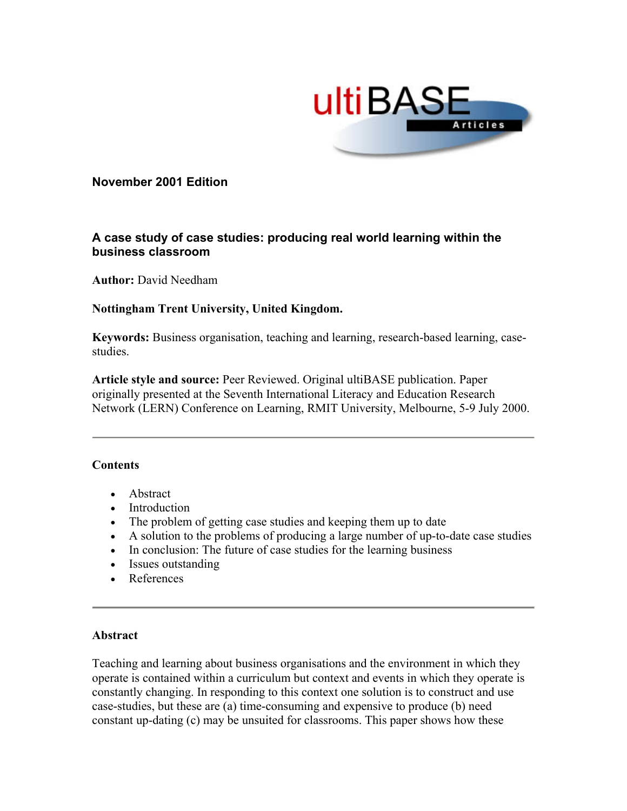

# <span id="page-0-0"></span>**November 2001 Edition**

# **A case study of case studies: producing real world learning within the business classroom**

**Author:** David Needham

# **Nottingham Trent University, United Kingdom.**

**Keywords:** Business organisation, teaching and learning, research-based learning, casestudies.

**Article style and source:** Peer Reviewed. Original ultiBASE publication. Paper originally presented at the Seventh International Literacy and Education Research Network (LERN) Conference on Learning, RMIT University, Melbourne, 5-9 July 2000.

### **Contents**

- Abstract
- Introduction
- The problem of getting case studies and keeping them up to date
- A solution to the problems of producing a large number of up-to-date case studies
- In conclusion: The future of case studies for the learning business
- Issues outstanding
- References

### **Abstract**

Teaching and learning about business organisations and the environment in which they operate is contained within a curriculum but context and events in which they operate is constantly changing. In responding to this context one solution is to construct and use case-studies, but these are (a) time-consuming and expensive to produce (b) need constant up-dating (c) may be unsuited for classrooms. This paper shows how these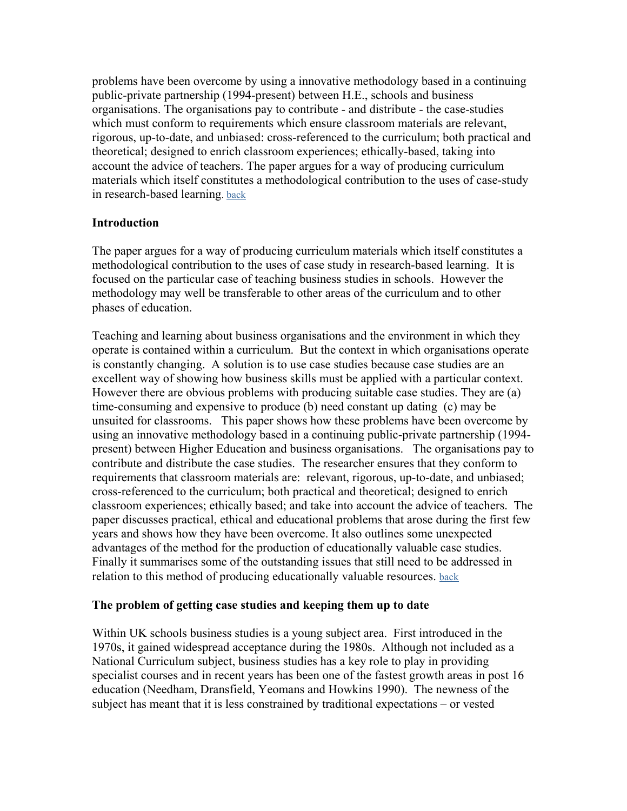problems have been overcome by using a innovative methodology based in a continuing public-private partnership (1994-present) between H.E., schools and business organisations. The organisations pay to contribute - and distribute - the case-studies which must conform to requirements which ensure classroom materials are relevant, rigorous, up-to-date, and unbiased: cross-referenced to the curriculum; both practical and theoretical; designed to enrich classroom experiences; ethically-based, taking into account the advice of teachers. The paper argues for a way of producing curriculum materials which itself constitutes a methodological contribution to the uses of case-study in research-based learning. [back](#page-0-0)

# **Introduction**

The paper argues for a way of producing curriculum materials which itself constitutes a methodological contribution to the uses of case study in research-based learning. It is focused on the particular case of teaching business studies in schools. However the methodology may well be transferable to other areas of the curriculum and to other phases of education.

Teaching and learning about business organisations and the environment in which they operate is contained within a curriculum. But the context in which organisations operate is constantly changing. A solution is to use case studies because case studies are an excellent way of showing how business skills must be applied with a particular context. However there are obvious problems with producing suitable case studies. They are (a) time-consuming and expensive to produce (b) need constant up dating (c) may be unsuited for classrooms. This paper shows how these problems have been overcome by using an innovative methodology based in a continuing public-private partnership (1994 present) between Higher Education and business organisations. The organisations pay to contribute and distribute the case studies. The researcher ensures that they conform to requirements that classroom materials are: relevant, rigorous, up-to-date, and unbiased; cross-referenced to the curriculum; both practical and theoretical; designed to enrich classroom experiences; ethically based; and take into account the advice of teachers. The paper discusses practical, ethical and educational problems that arose during the first few years and shows how they have been overcome. It also outlines some unexpected advantages of the method for the production of educationally valuable case studies. Finally it summarises some of the outstanding issues that still need to be addressed in relation to this method of producing educationally valuable resources. [back](#page-0-0)

### **The problem of getting case studies and keeping them up to date**

Within UK schools business studies is a young subject area. First introduced in the 1970s, it gained widespread acceptance during the 1980s. Although not included as a National Curriculum subject, business studies has a key role to play in providing specialist courses and in recent years has been one of the fastest growth areas in post 16 education (Needham, Dransfield, Yeomans and Howkins 1990). The newness of the subject has meant that it is less constrained by traditional expectations – or vested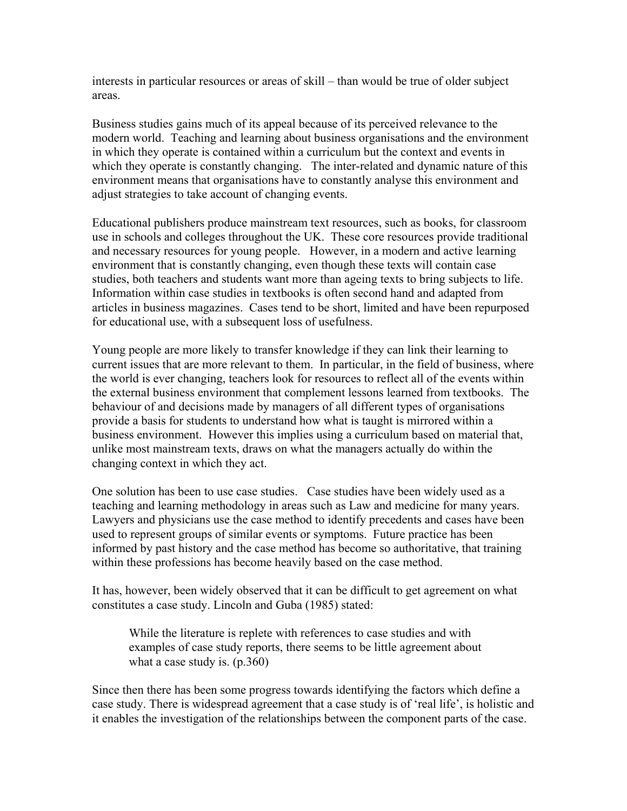interests in particular resources or areas of skill – than would be true of older subject areas.

Business studies gains much of its appeal because of its perceived relevance to the modern world. Teaching and learning about business organisations and the environment in which they operate is contained within a curriculum but the context and events in which they operate is constantly changing. The inter-related and dynamic nature of this environment means that organisations have to constantly analyse this environment and adjust strategies to take account of changing events.

Educational publishers produce mainstream text resources, such as books, for classroom use in schools and colleges throughout the UK. These core resources provide traditional and necessary resources for young people. However, in a modern and active learning environment that is constantly changing, even though these texts will contain case studies, both teachers and students want more than ageing texts to bring subjects to life. Information within case studies in textbooks is often second hand and adapted from articles in business magazines. Cases tend to be short, limited and have been repurposed for educational use, with a subsequent loss of usefulness.

Young people are more likely to transfer knowledge if they can link their learning to current issues that are more relevant to them. In particular, in the field of business, where the world is ever changing, teachers look for resources to reflect all of the events within the external business environment that complement lessons learned from textbooks. The behaviour of and decisions made by managers of all different types of organisations provide a basis for students to understand how what is taught is mirrored within a business environment. However this implies using a curriculum based on material that, unlike most mainstream texts, draws on what the managers actually do within the changing context in which they act.

One solution has been to use case studies. Case studies have been widely used as a teaching and learning methodology in areas such as Law and medicine for many years. Lawyers and physicians use the case method to identify precedents and cases have been used to represent groups of similar events or symptoms. Future practice has been informed by past history and the case method has become so authoritative, that training within these professions has become heavily based on the case method.

It has, however, been widely observed that it can be difficult to get agreement on what constitutes a case study. Lincoln and Guba (1985) stated:

While the literature is replete with references to case studies and with examples of case study reports, there seems to be little agreement about what a case study is. (p.360)

Since then there has been some progress towards identifying the factors which define a case study. There is widespread agreement that a case study is of 'real life', is holistic and it enables the investigation of the relationships between the component parts of the case.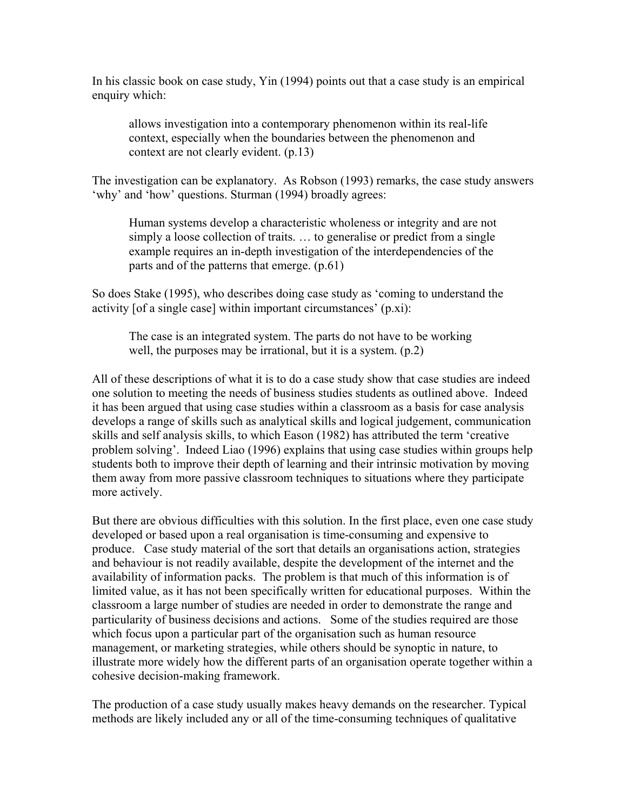In his classic book on case study, Yin (1994) points out that a case study is an empirical enquiry which:

allows investigation into a contemporary phenomenon within its real-life context, especially when the boundaries between the phenomenon and context are not clearly evident. (p.13)

The investigation can be explanatory. As Robson (1993) remarks, the case study answers 'why' and 'how' questions. Sturman (1994) broadly agrees:

Human systems develop a characteristic wholeness or integrity and are not simply a loose collection of traits. … to generalise or predict from a single example requires an in-depth investigation of the interdependencies of the parts and of the patterns that emerge. (p.61)

So does Stake (1995), who describes doing case study as 'coming to understand the activity [of a single case] within important circumstances' (p.xi):

The case is an integrated system. The parts do not have to be working well, the purposes may be irrational, but it is a system. (p.2)

All of these descriptions of what it is to do a case study show that case studies are indeed one solution to meeting the needs of business studies students as outlined above. Indeed it has been argued that using case studies within a classroom as a basis for case analysis develops a range of skills such as analytical skills and logical judgement, communication skills and self analysis skills, to which Eason (1982) has attributed the term 'creative problem solving'. Indeed Liao (1996) explains that using case studies within groups help students both to improve their depth of learning and their intrinsic motivation by moving them away from more passive classroom techniques to situations where they participate more actively.

But there are obvious difficulties with this solution. In the first place, even one case study developed or based upon a real organisation is time-consuming and expensive to produce. Case study material of the sort that details an organisations action, strategies and behaviour is not readily available, despite the development of the internet and the availability of information packs. The problem is that much of this information is of limited value, as it has not been specifically written for educational purposes. Within the classroom a large number of studies are needed in order to demonstrate the range and particularity of business decisions and actions. Some of the studies required are those which focus upon a particular part of the organisation such as human resource management, or marketing strategies, while others should be synoptic in nature, to illustrate more widely how the different parts of an organisation operate together within a cohesive decision-making framework.

The production of a case study usually makes heavy demands on the researcher. Typical methods are likely included any or all of the time-consuming techniques of qualitative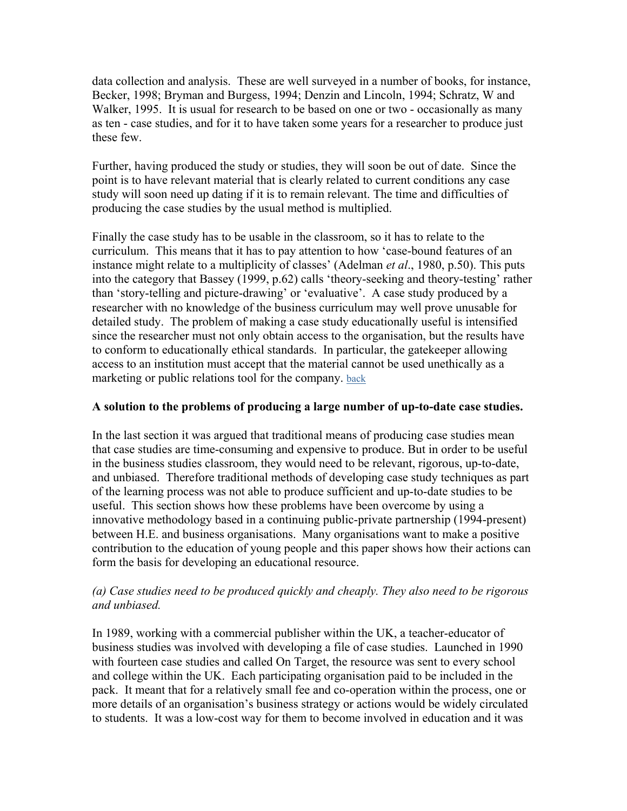data collection and analysis. These are well surveyed in a number of books, for instance, Becker, 1998; Bryman and Burgess, 1994; Denzin and Lincoln, 1994; Schratz, W and Walker, 1995. It is usual for research to be based on one or two - occasionally as many as ten - case studies, and for it to have taken some years for a researcher to produce just these few.

Further, having produced the study or studies, they will soon be out of date. Since the point is to have relevant material that is clearly related to current conditions any case study will soon need up dating if it is to remain relevant. The time and difficulties of producing the case studies by the usual method is multiplied.

Finally the case study has to be usable in the classroom, so it has to relate to the curriculum. This means that it has to pay attention to how 'case-bound features of an instance might relate to a multiplicity of classes' (Adelman *et al*., 1980, p.50). This puts into the category that Bassey (1999, p.62) calls 'theory-seeking and theory-testing' rather than 'story-telling and picture-drawing' or 'evaluative'. A case study produced by a researcher with no knowledge of the business curriculum may well prove unusable for detailed study. The problem of making a case study educationally useful is intensified since the researcher must not only obtain access to the organisation, but the results have to conform to educationally ethical standards. In particular, the gatekeeper allowing access to an institution must accept that the material cannot be used unethically as a marketing or public relations tool for the company. [back](#page-0-0)

## **A solution to the problems of producing a large number of up-to-date case studies.**

In the last section it was argued that traditional means of producing case studies mean that case studies are time-consuming and expensive to produce. But in order to be useful in the business studies classroom, they would need to be relevant, rigorous, up-to-date, and unbiased. Therefore traditional methods of developing case study techniques as part of the learning process was not able to produce sufficient and up-to-date studies to be useful. This section shows how these problems have been overcome by using a innovative methodology based in a continuing public-private partnership (1994-present) between H.E. and business organisations. Many organisations want to make a positive contribution to the education of young people and this paper shows how their actions can form the basis for developing an educational resource.

# *(a) Case studies need to be produced quickly and cheaply. They also need to be rigorous and unbiased.*

In 1989, working with a commercial publisher within the UK, a teacher-educator of business studies was involved with developing a file of case studies. Launched in 1990 with fourteen case studies and called On Target, the resource was sent to every school and college within the UK. Each participating organisation paid to be included in the pack. It meant that for a relatively small fee and co-operation within the process, one or more details of an organisation's business strategy or actions would be widely circulated to students. It was a low-cost way for them to become involved in education and it was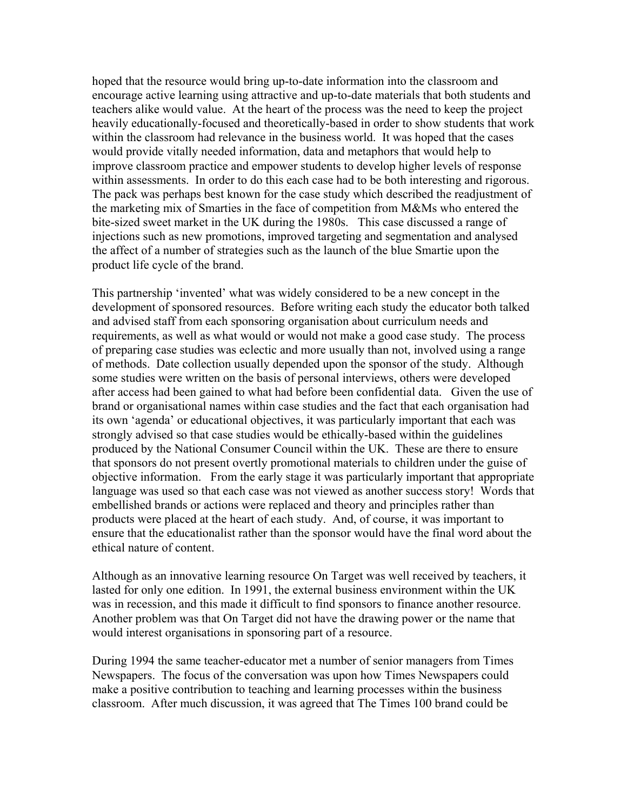hoped that the resource would bring up-to-date information into the classroom and encourage active learning using attractive and up-to-date materials that both students and teachers alike would value. At the heart of the process was the need to keep the project heavily educationally-focused and theoretically-based in order to show students that work within the classroom had relevance in the business world. It was hoped that the cases would provide vitally needed information, data and metaphors that would help to improve classroom practice and empower students to develop higher levels of response within assessments. In order to do this each case had to be both interesting and rigorous. The pack was perhaps best known for the case study which described the readjustment of the marketing mix of Smarties in the face of competition from M&Ms who entered the bite-sized sweet market in the UK during the 1980s. This case discussed a range of injections such as new promotions, improved targeting and segmentation and analysed the affect of a number of strategies such as the launch of the blue Smartie upon the product life cycle of the brand.

This partnership 'invented' what was widely considered to be a new concept in the development of sponsored resources. Before writing each study the educator both talked and advised staff from each sponsoring organisation about curriculum needs and requirements, as well as what would or would not make a good case study. The process of preparing case studies was eclectic and more usually than not, involved using a range of methods. Date collection usually depended upon the sponsor of the study. Although some studies were written on the basis of personal interviews, others were developed after access had been gained to what had before been confidential data. Given the use of brand or organisational names within case studies and the fact that each organisation had its own 'agenda' or educational objectives, it was particularly important that each was strongly advised so that case studies would be ethically-based within the guidelines produced by the National Consumer Council within the UK. These are there to ensure that sponsors do not present overtly promotional materials to children under the guise of objective information. From the early stage it was particularly important that appropriate language was used so that each case was not viewed as another success story! Words that embellished brands or actions were replaced and theory and principles rather than products were placed at the heart of each study. And, of course, it was important to ensure that the educationalist rather than the sponsor would have the final word about the ethical nature of content.

Although as an innovative learning resource On Target was well received by teachers, it lasted for only one edition. In 1991, the external business environment within the UK was in recession, and this made it difficult to find sponsors to finance another resource. Another problem was that On Target did not have the drawing power or the name that would interest organisations in sponsoring part of a resource.

During 1994 the same teacher-educator met a number of senior managers from Times Newspapers. The focus of the conversation was upon how Times Newspapers could make a positive contribution to teaching and learning processes within the business classroom. After much discussion, it was agreed that The Times 100 brand could be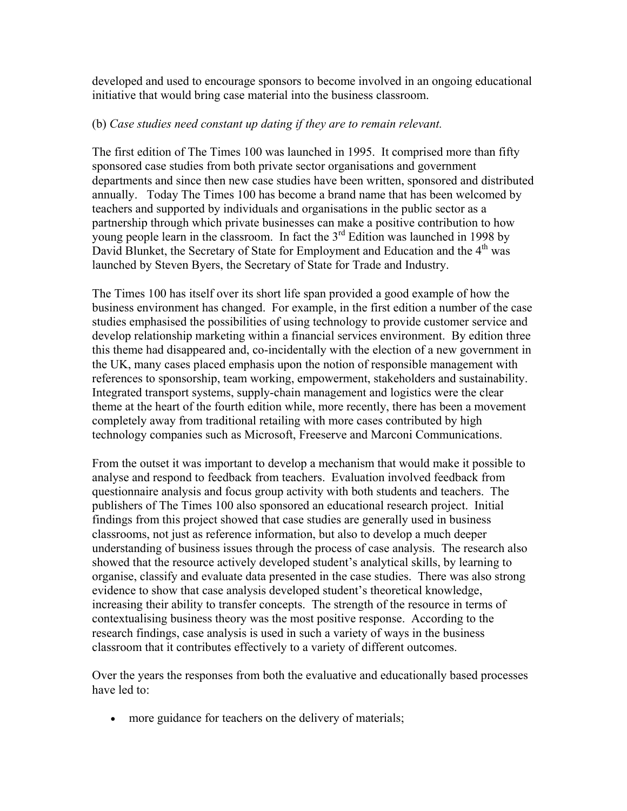developed and used to encourage sponsors to become involved in an ongoing educational initiative that would bring case material into the business classroom.

# (b) *Case studies need constant up dating if they are to remain relevant.*

The first edition of The Times 100 was launched in 1995. It comprised more than fifty sponsored case studies from both private sector organisations and government departments and since then new case studies have been written, sponsored and distributed annually. Today The Times 100 has become a brand name that has been welcomed by teachers and supported by individuals and organisations in the public sector as a partnership through which private businesses can make a positive contribution to how young people learn in the classroom. In fact the  $3<sup>rd</sup>$  Edition was launched in 1998 by David Blunket, the Secretary of State for Employment and Education and the 4<sup>th</sup> was launched by Steven Byers, the Secretary of State for Trade and Industry.

The Times 100 has itself over its short life span provided a good example of how the business environment has changed. For example, in the first edition a number of the case studies emphasised the possibilities of using technology to provide customer service and develop relationship marketing within a financial services environment. By edition three this theme had disappeared and, co-incidentally with the election of a new government in the UK, many cases placed emphasis upon the notion of responsible management with references to sponsorship, team working, empowerment, stakeholders and sustainability. Integrated transport systems, supply-chain management and logistics were the clear theme at the heart of the fourth edition while, more recently, there has been a movement completely away from traditional retailing with more cases contributed by high technology companies such as Microsoft, Freeserve and Marconi Communications.

From the outset it was important to develop a mechanism that would make it possible to analyse and respond to feedback from teachers. Evaluation involved feedback from questionnaire analysis and focus group activity with both students and teachers. The publishers of The Times 100 also sponsored an educational research project. Initial findings from this project showed that case studies are generally used in business classrooms, not just as reference information, but also to develop a much deeper understanding of business issues through the process of case analysis. The research also showed that the resource actively developed student's analytical skills, by learning to organise, classify and evaluate data presented in the case studies. There was also strong evidence to show that case analysis developed student's theoretical knowledge, increasing their ability to transfer concepts. The strength of the resource in terms of contextualising business theory was the most positive response. According to the research findings, case analysis is used in such a variety of ways in the business classroom that it contributes effectively to a variety of different outcomes.

Over the years the responses from both the evaluative and educationally based processes have led to:

• more guidance for teachers on the delivery of materials;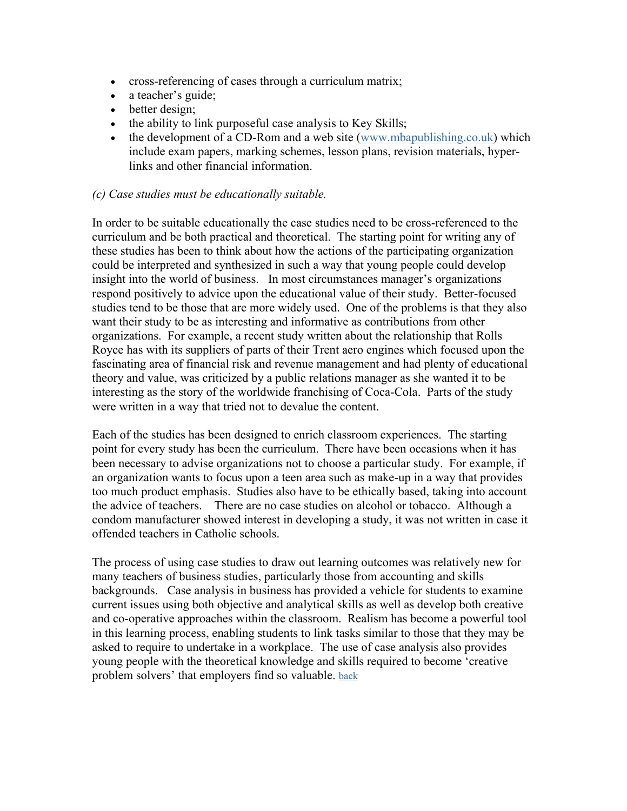- cross-referencing of cases through a curriculum matrix;
- a teacher's guide;
- better design;
- the ability to link purposeful case analysis to Key Skills;
- the development of a CD-Rom and a web site [\(www.mbapublishing.co.uk\)](http://www.mbapublishing.co.uk/) which include exam papers, marking schemes, lesson plans, revision materials, hyperlinks and other financial information.

# *(c) Case studies must be educationally suitable.*

In order to be suitable educationally the case studies need to be cross-referenced to the curriculum and be both practical and theoretical. The starting point for writing any of these studies has been to think about how the actions of the participating organization could be interpreted and synthesized in such a way that young people could develop insight into the world of business. In most circumstances manager's organizations respond positively to advice upon the educational value of their study. Better-focused studies tend to be those that are more widely used. One of the problems is that they also want their study to be as interesting and informative as contributions from other organizations. For example, a recent study written about the relationship that Rolls Royce has with its suppliers of parts of their Trent aero engines which focused upon the fascinating area of financial risk and revenue management and had plenty of educational theory and value, was criticized by a public relations manager as she wanted it to be interesting as the story of the worldwide franchising of Coca-Cola. Parts of the study were written in a way that tried not to devalue the content.

Each of the studies has been designed to enrich classroom experiences. The starting point for every study has been the curriculum. There have been occasions when it has been necessary to advise organizations not to choose a particular study. For example, if an organization wants to focus upon a teen area such as make-up in a way that provides too much product emphasis. Studies also have to be ethically based, taking into account the advice of teachers. There are no case studies on alcohol or tobacco. Although a condom manufacturer showed interest in developing a study, it was not written in case it offended teachers in Catholic schools.

The process of using case studies to draw out learning outcomes was relatively new for many teachers of business studies, particularly those from accounting and skills backgrounds. Case analysis in business has provided a vehicle for students to examine current issues using both objective and analytical skills as well as develop both creative and co-operative approaches within the classroom. Realism has become a powerful tool in this learning process, enabling students to link tasks similar to those that they may be asked to require to undertake in a workplace. The use of case analysis also provides young people with the theoretical knowledge and skills required to become 'creative problem solvers' that employers find so valuable. [back](#page-0-0)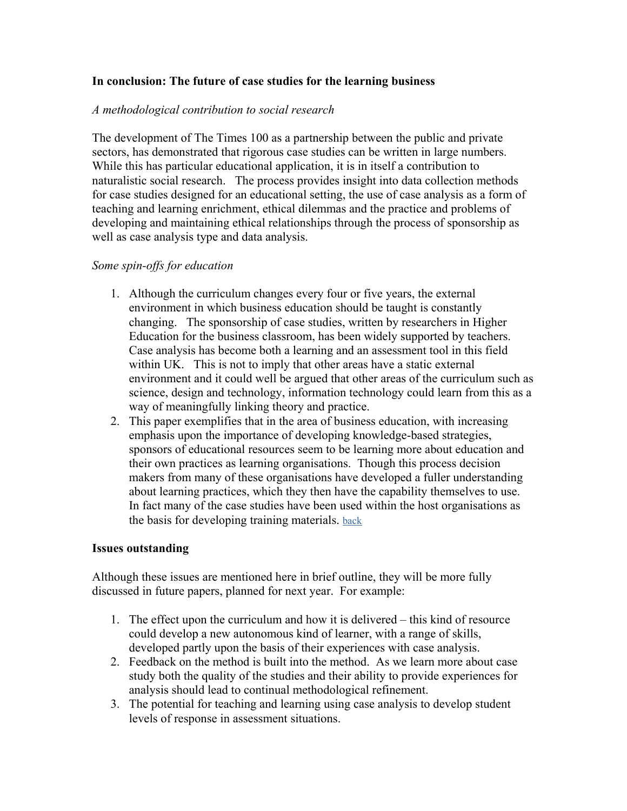# **In conclusion: The future of case studies for the learning business**

## *A methodological contribution to social research*

The development of The Times 100 as a partnership between the public and private sectors, has demonstrated that rigorous case studies can be written in large numbers. While this has particular educational application, it is in itself a contribution to naturalistic social research. The process provides insight into data collection methods for case studies designed for an educational setting, the use of case analysis as a form of teaching and learning enrichment, ethical dilemmas and the practice and problems of developing and maintaining ethical relationships through the process of sponsorship as well as case analysis type and data analysis.

### *Some spin-offs for education*

- 1. Although the curriculum changes every four or five years, the external environment in which business education should be taught is constantly changing. The sponsorship of case studies, written by researchers in Higher Education for the business classroom, has been widely supported by teachers. Case analysis has become both a learning and an assessment tool in this field within UK. This is not to imply that other areas have a static external environment and it could well be argued that other areas of the curriculum such as science, design and technology, information technology could learn from this as a way of meaningfully linking theory and practice.
- 2. This paper exemplifies that in the area of business education, with increasing emphasis upon the importance of developing knowledge-based strategies, sponsors of educational resources seem to be learning more about education and their own practices as learning organisations. Though this process decision makers from many of these organisations have developed a fuller understanding about learning practices, which they then have the capability themselves to use. In fact many of the case studies have been used within the host organisations as the basis for developing training materials. [back](#page-0-0)

### **Issues outstanding**

Although these issues are mentioned here in brief outline, they will be more fully discussed in future papers, planned for next year. For example:

- 1. The effect upon the curriculum and how it is delivered this kind of resource could develop a new autonomous kind of learner, with a range of skills, developed partly upon the basis of their experiences with case analysis.
- 2. Feedback on the method is built into the method. As we learn more about case study both the quality of the studies and their ability to provide experiences for analysis should lead to continual methodological refinement.
- 3. The potential for teaching and learning using case analysis to develop student levels of response in assessment situations.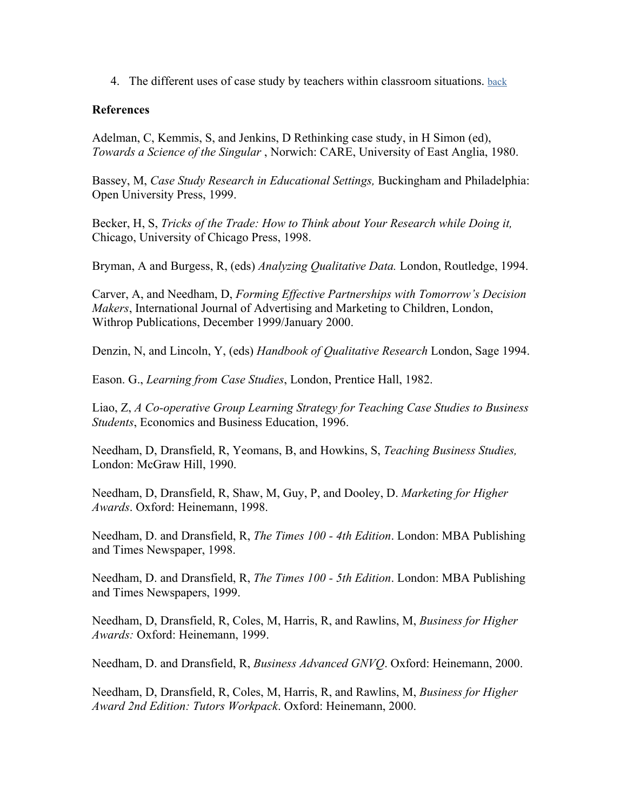4. The different uses of case study by teachers within classroom situations. [back](#page-0-0)

# **References**

Adelman, C, Kemmis, S, and Jenkins, D Rethinking case study, in H Simon (ed), *Towards a Science of the Singular* , Norwich: CARE, University of East Anglia, 1980.

Bassey, M, *Case Study Research in Educational Settings,* Buckingham and Philadelphia: Open University Press, 1999.

Becker, H, S, *Tricks of the Trade: How to Think about Your Research while Doing it,*  Chicago, University of Chicago Press, 1998.

Bryman, A and Burgess, R, (eds) *Analyzing Qualitative Data.* London, Routledge, 1994.

Carver, A, and Needham, D, *Forming Effective Partnerships with Tomorrow's Decision Makers*, International Journal of Advertising and Marketing to Children, London, Withrop Publications, December 1999/January 2000.

Denzin, N, and Lincoln, Y, (eds) *Handbook of Qualitative Research* London, Sage 1994.

Eason. G., *Learning from Case Studies*, London, Prentice Hall, 1982.

Liao, Z, *A Co-operative Group Learning Strategy for Teaching Case Studies to Business Students*, Economics and Business Education, 1996.

Needham, D, Dransfield, R, Yeomans, B, and Howkins, S, *Teaching Business Studies,* London: McGraw Hill, 1990.

Needham, D, Dransfield, R, Shaw, M, Guy, P, and Dooley, D. *Marketing for Higher Awards*. Oxford: Heinemann, 1998.

Needham, D. and Dransfield, R, *The Times 100 - 4th Edition*. London: MBA Publishing and Times Newspaper, 1998.

Needham, D. and Dransfield, R, *The Times 100 - 5th Edition*. London: MBA Publishing and Times Newspapers, 1999.

Needham, D, Dransfield, R, Coles, M, Harris, R, and Rawlins, M, *Business for Higher Awards:* Oxford: Heinemann, 1999.

Needham, D. and Dransfield, R, *Business Advanced GNVQ*. Oxford: Heinemann, 2000.

Needham, D, Dransfield, R, Coles, M, Harris, R, and Rawlins, M, *Business for Higher Award 2nd Edition: Tutors Workpack*. Oxford: Heinemann, 2000.